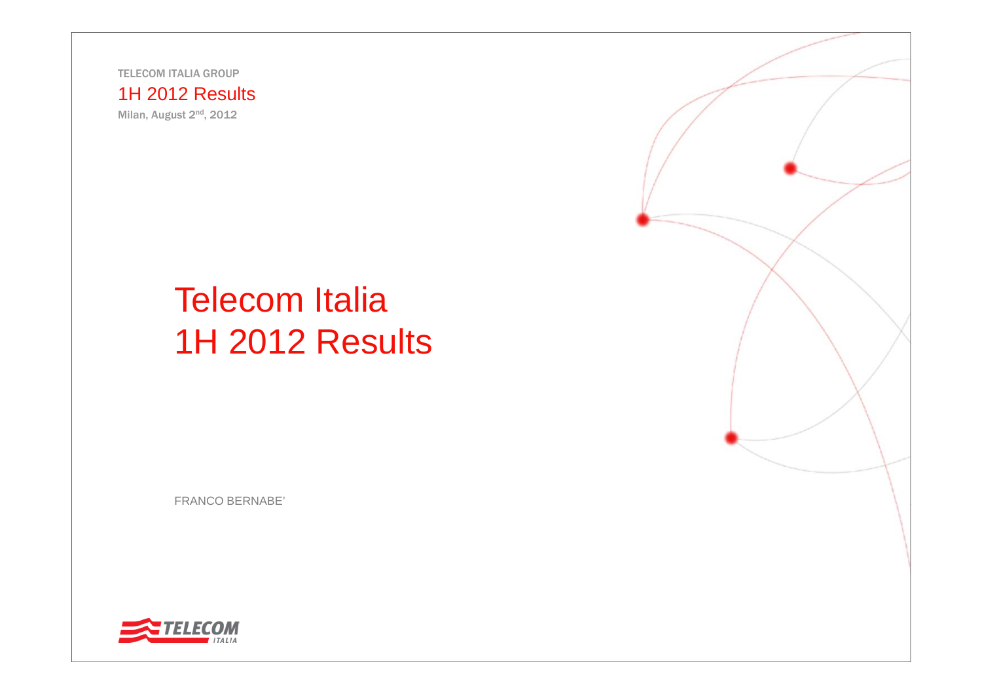TELECOM ITALIA GROUP

#### 1H 2012 Results

Milan, August 2nd, 2012

# Telecom Italia 1H 2012 Results

FRANCO BERNABE'



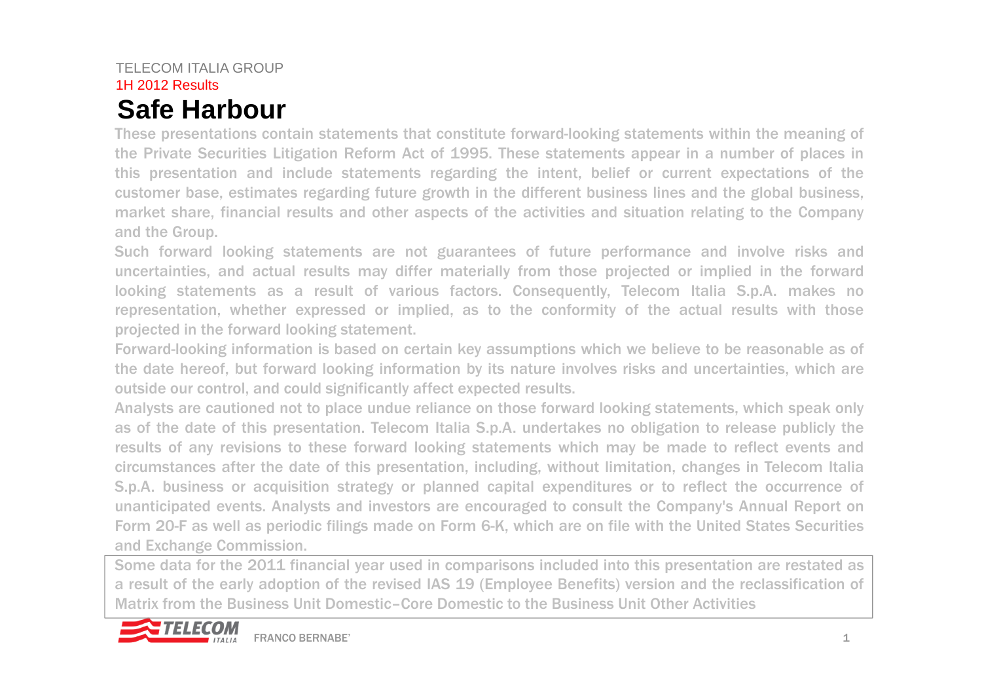### TELECOM ITALIA GROUP 1H 2012 Results**Safe Harbour**

These presentations contain statements that constitute forward-looking statements within the meaning of the Private Securities Litigation Reform Act of 1995. These statements appear in <sup>a</sup> number of places in this presentation and include statements regarding the intent, belief or current expectations of the customer base, estimates regarding future growth in the different business lines and the global business, market share, financial results and other aspects of the activities and situation relating to the Company and the Group.

Such forward looking statements are not guarantees of future performance and involve risks and uncertainties, and actual results may differ materially from those projected or implied in the forward looking statements as <sup>a</sup> result of various factors. Consequently, Telecom Italia S.p.A. makes no representation, whether expressed or implied, as to the conformity of the actual results with those projected in the forward looking statement.

Forward-looking information is based on certain key assumptions which we believe to be reasonable as of the date hereof, but forward looking information by its nature involves risks and uncertainties, which are outside our control, and could significantly affect expected results.

Analysts are cautioned not to place undue reliance on those forward looking statements, which speak only as of the date of this presentation. Telecom Italia S.p.A. undertakes no obligation to release publicly the results of any revisions to these forward looking statements which may be made to reflect events and circumstances after the date of this presentation, including, without limitation, changes in Telecom Italia S.p.A. business or acquisition strategy or planned capital expenditures or to reflect the occurrence of unanticipated events. Analysts and investors are encouraged to consult the Company's Annual Report on Form 20-F as well as periodic filings made on Form 6-K, which are on file with the United States Securities and Exchange Commission.

Some data for the 2011 financial year used in comparisons included into this presentation are restated as <sup>a</sup> result of the early adoption of the revised IAS 19 (Employee Benefits) version and the reclassification of Matrix from the Business Unit Domestic–Core Domestic to the Business Unit Other Activities

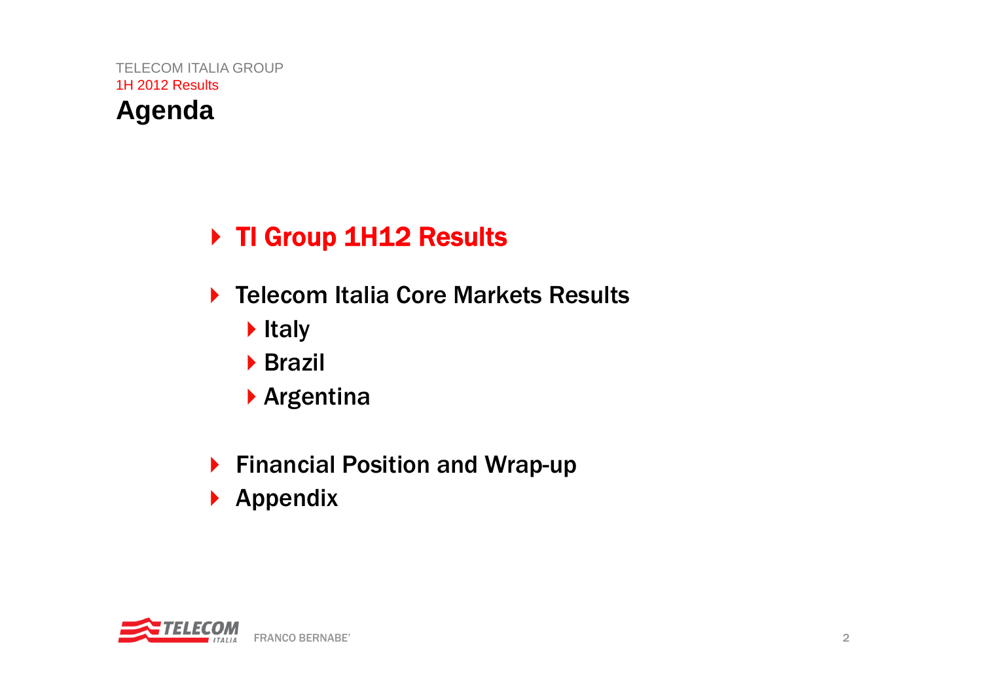## **Agenda**

## ▶ TI Group 1H12 Results

- ▶ Telecom Italia Core Markets Results
	- $\blacktriangleright$  Italy
	- **Brazil**
	- Argentina
- ▶ Financial Position and Wrap-up
- $\blacktriangleright$  Appendix

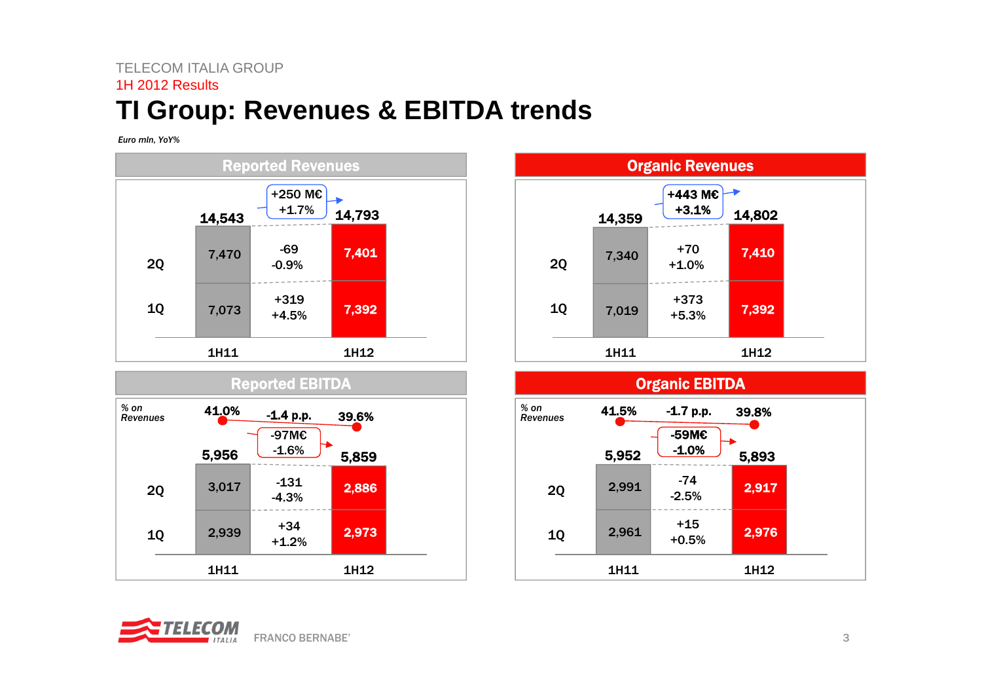### TELECOM ITALIA GROUP1H 2012 Results**TI Group: Revenues & EBITDA trends**

*Euro mln, YoY%*









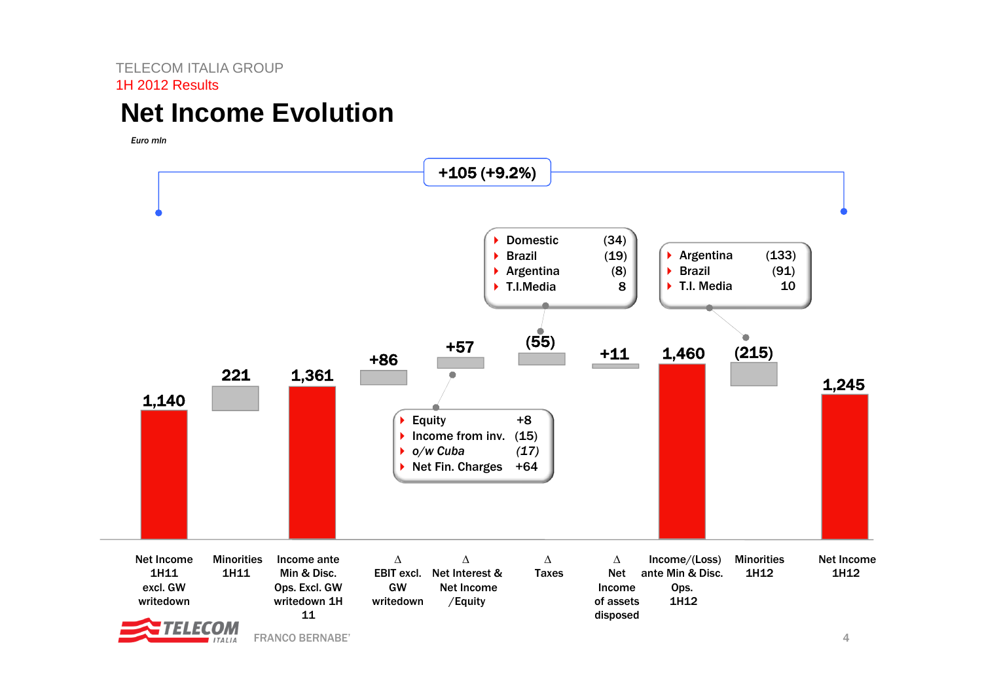### **Net Income Evolution**

*Euro mln* 



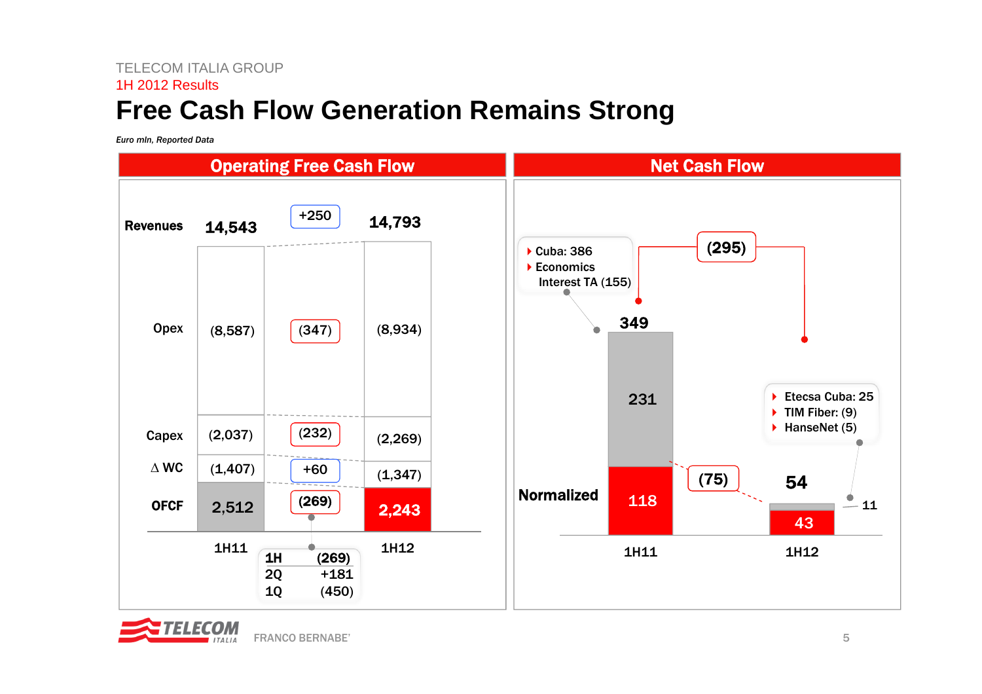### **Free Cash Flow Generation Remains Strong**

*Euro mln, Reported Data*



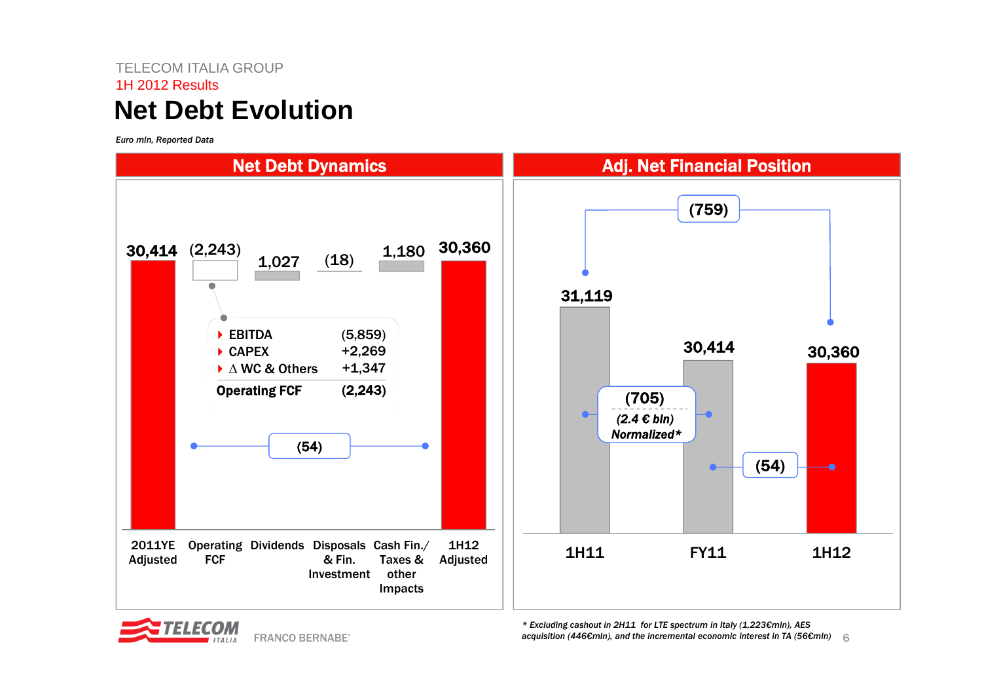### TELECOM ITALIA GROUP1H 2012 Results**Net Debt Evolution**

*Euro mln, Reported Data*





6*acquisition (446€mln), and the incremental economic interest in TA (56€mln)\* Excluding cashout in 2H11 for LTE spectrum in Italy (1,223€mln), AES*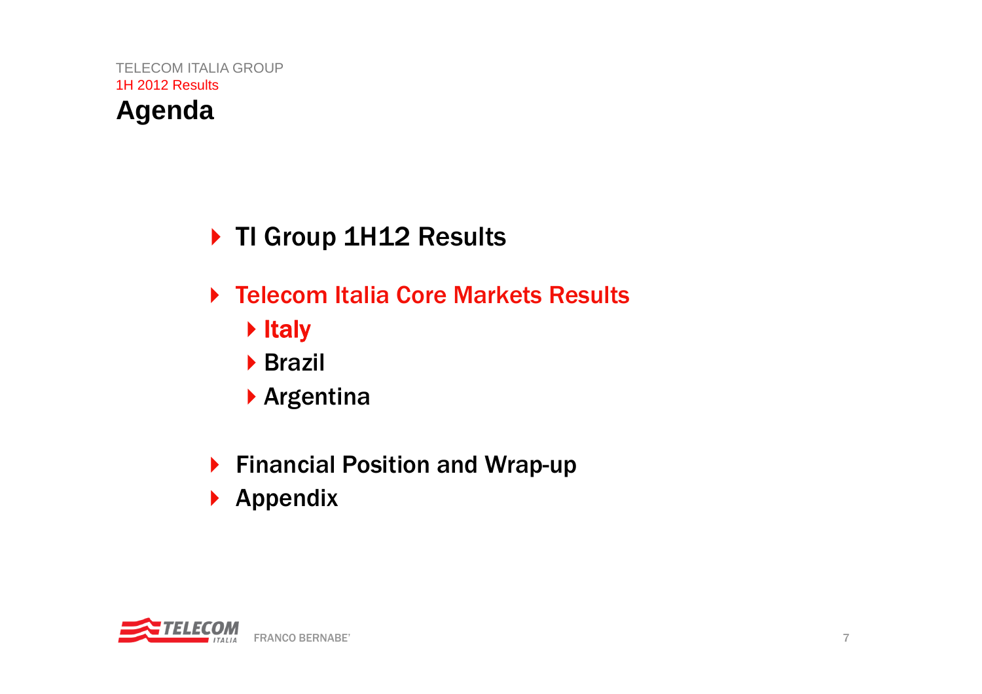## **Agenda**

- ▶ TI Group 1H12 Results
- ▶ Telecom Italia Core Markets Results
	- ▶ Italy
	- Brazil
	- Argentina
- ▶ Financial Position and Wrap-up
- $\blacktriangleright$  Appendix

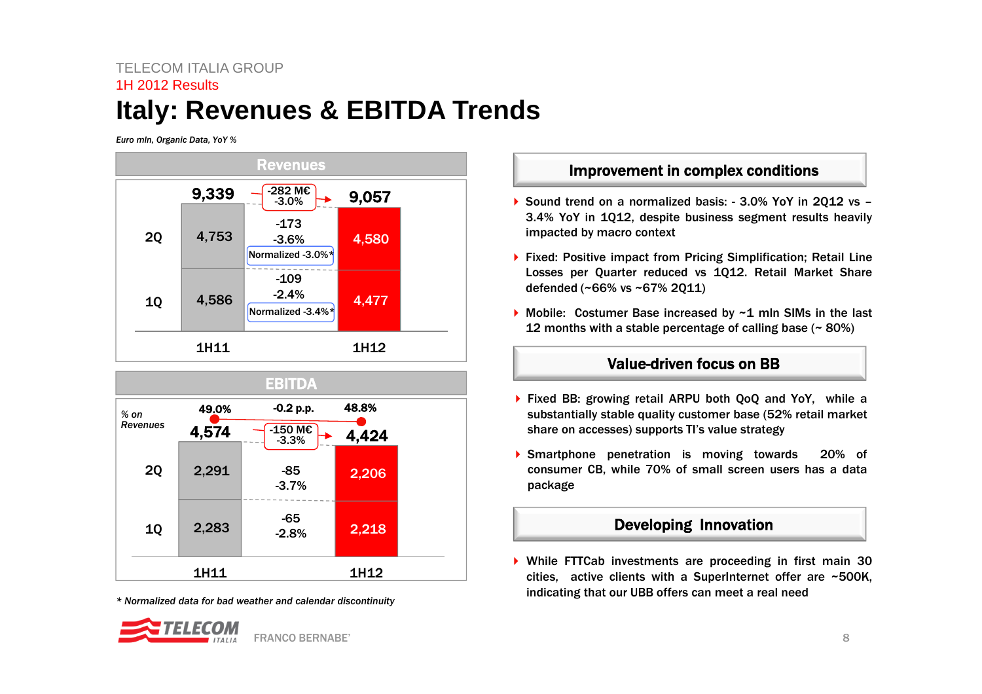### TELECOM ITALIA GROUP1H 2012 Results**Italy: Revenues & EBITDA Trends**

*Euro mln, Organic Data, YoY %*





*\* Normalized data for bad weather and calendar discontinuity*



Improvement in complex conditions

- ▶ Sound trend on a normalized basis: 3.0% YoY in 2Q12 vs 3.4% YoY in 1Q12, despite business segment results heavily impacted by macro context
- ▶ Fixed: Positive impact from Pricing Simplification; Retail Line Losses per Quarter reduced vs 1Q12. Retail Market Share defended (~66% vs ~67% 2Q11)
- ▶ Mobile: Costumer Base increased by ~1 mln SIMs in the last 12 months with <sup>a</sup> stable percentage of calling base (~ 80%)

#### Value-driven focus on BB

- ▶ Fixed BB: growing retail ARPU both QoQ and YoY, while a substantially stable quality customer base (52% retail market share on accesses) supports TI's value strategy
- Smartphone penetration is moving towards 20% of consumer CB, while 70% of small screen users has <sup>a</sup> data package

#### Developing Innovation

 While FTTCab investments are proceeding in first main 30 cities, active clients with <sup>a</sup> SuperInternet offer are ~500K, indicating that our UBB offers can meet <sup>a</sup> real need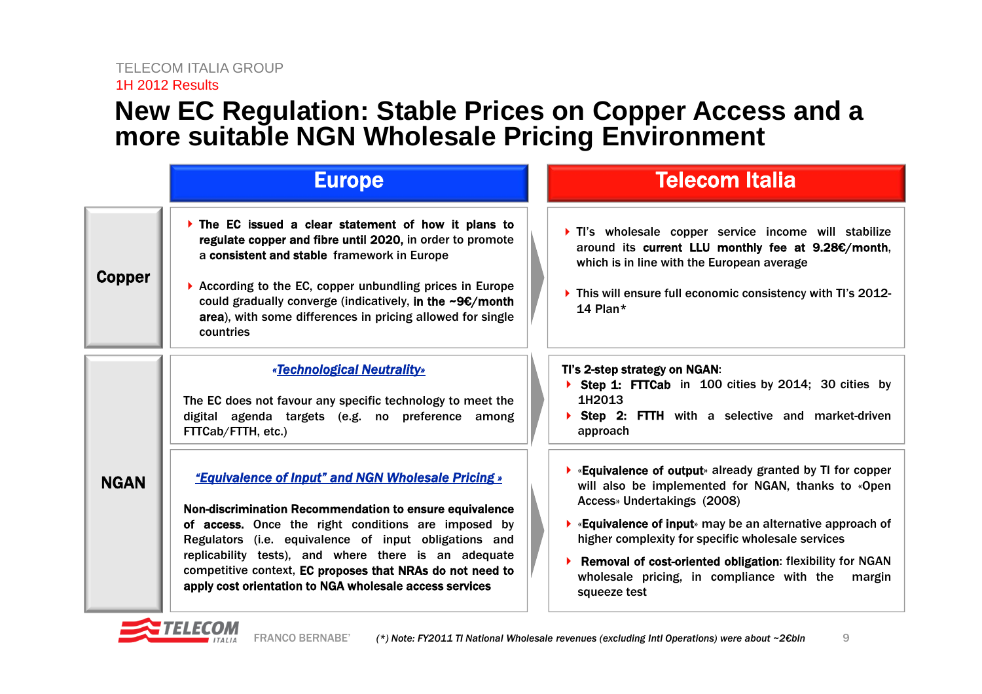### **New EC Regulation: Stable Prices on Copper Access and a more suitable NGN Wholesale Pricing Environment**

|               | <b>Europe</b>                                                                                                                                                                                                                                                                                                                                                                                                        | <b>Telecom Italia</b>                                                                                                                                                                                                                                                                                                                                                                                                                       |
|---------------|----------------------------------------------------------------------------------------------------------------------------------------------------------------------------------------------------------------------------------------------------------------------------------------------------------------------------------------------------------------------------------------------------------------------|---------------------------------------------------------------------------------------------------------------------------------------------------------------------------------------------------------------------------------------------------------------------------------------------------------------------------------------------------------------------------------------------------------------------------------------------|
| <b>Copper</b> | The EC issued a clear statement of how it plans to<br>regulate copper and fibre until 2020, in order to promote<br>a consistent and stable framework in Europe<br>According to the EC, copper unbundling prices in Europe<br>could gradually converge (indicatively, in the $\sim$ 9€/month<br>area), with some differences in pricing allowed for single<br>countries                                               | It's wholesale copper service income will stabilize<br>around its current LLU monthly fee at 9.28€/month,<br>which is in line with the European average<br>• This will ensure full economic consistency with TI's 2012-<br>14 Plan $*$                                                                                                                                                                                                      |
| <b>NGAN</b>   | «Technological Neutrality»<br>The EC does not favour any specific technology to meet the<br>digital agenda targets (e.g. no preference among<br>FTTCab/FTTH, etc.)                                                                                                                                                                                                                                                   | TI's 2-step strategy on NGAN:<br>Step 1: FITCab in 100 cities by 2014; 30 cities by<br>1H2013<br><b>Step 2: FTTH</b> with a selective and market-driven<br>approach                                                                                                                                                                                                                                                                         |
|               | <b>"Equivalence of Input" and NGN Wholesale Pricing »</b><br>Non-discrimination Recommendation to ensure equivalence<br>of access. Once the right conditions are imposed by<br>Regulators (i.e. equivalence of input obligations and<br>replicability tests), and where there is an adequate<br>competitive context, EC proposes that NRAs do not need to<br>apply cost orientation to NGA wholesale access services | $\blacktriangleright$ «Equivalence of output» already granted by TI for copper<br>will also be implemented for NGAN, thanks to «Open<br>Access» Undertakings (2008)<br>$\blacktriangleright$ «Equivalence of input» may be an alternative approach of<br>higher complexity for specific wholesale services<br>Removal of cost-oriented obligation: flexibility for NGAN<br>wholesale pricing, in compliance with the margin<br>squeeze test |

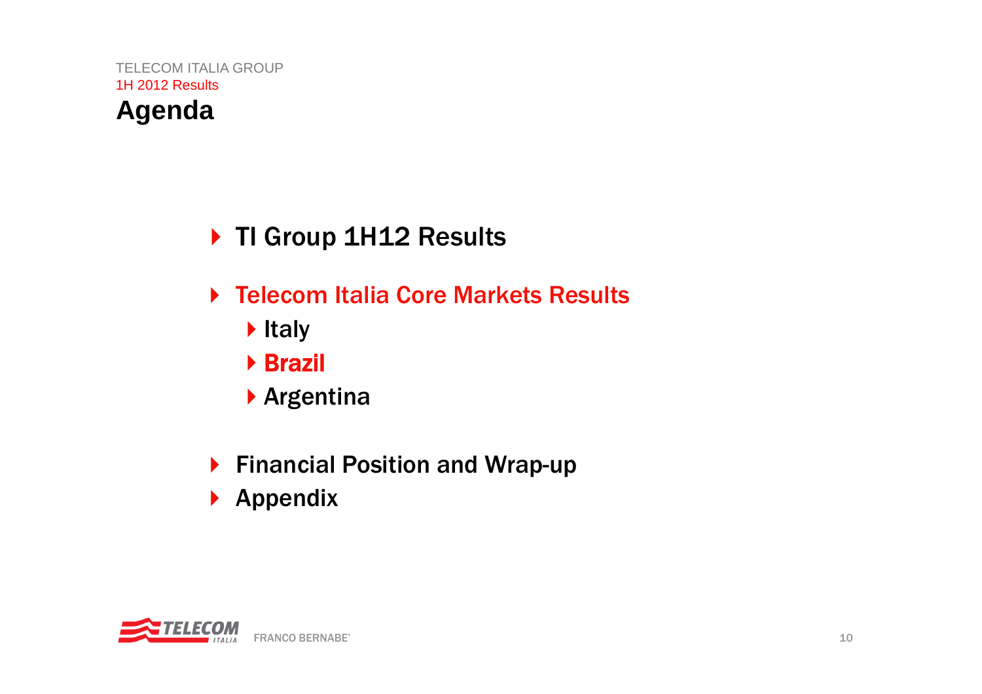## **Agenda**

## ▶ TI Group 1H12 Results

- ▶ Telecom Italia Core Markets Results
	- $\blacktriangleright$  Italy
	- Brazil
	- Argentina
- ▶ Financial Position and Wrap-up
- $\blacktriangleright$  Appendix

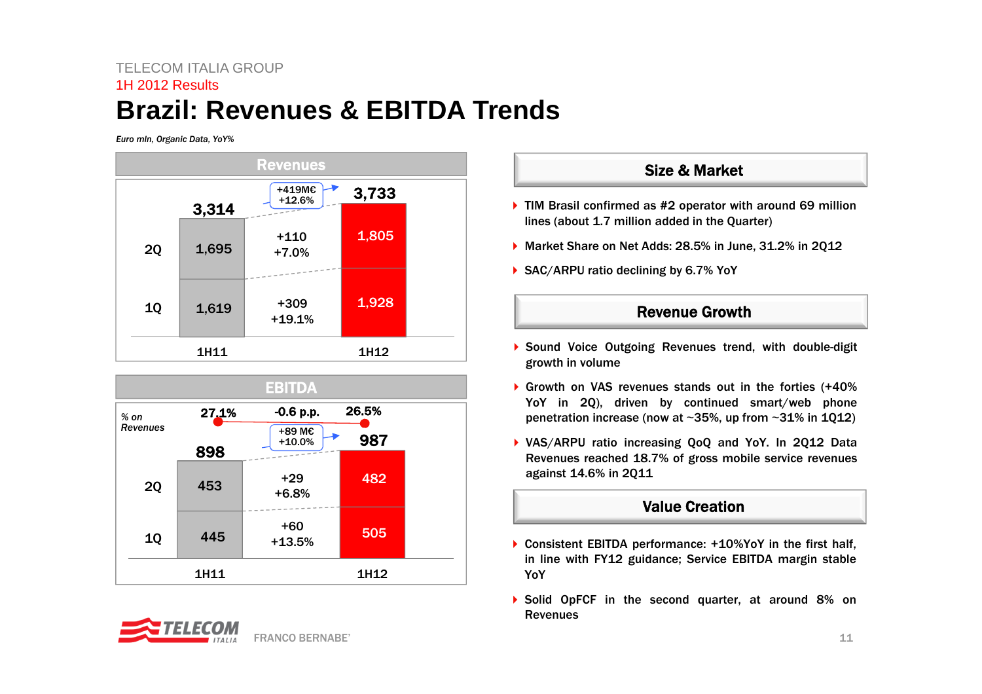### TELECOM ITALIA GROUP1H 2012 Results**Brazil: Revenues & EBITDA Trends**

*Euro mln, Organic Data, YoY%*







#### Size & Market

- ▶ TIM Brasil confirmed as #2 operator with around 69 million lines (about 1.7 million added in the Quarter)
- ▶ Market Share on Net Adds: 28.5% in June, 31.2% in 2012
- ▶ SAC/ARPU ratio declining by 6.7% YoY

#### Revenue Growth

- Sound Voice Outgoing Revenues trend, with double-digit growth in volume
- Growth on VAS revenues stands out in the forties (+40% YoY in 2Q), driven by continued smart/web phone penetration increase (now at <sup>~</sup>35%, up from <sup>~</sup>31% in 1Q12)
- VAS/ARPU ratio increasing QoQ and YoY. In 2Q12 Data Revenues reached 18.7% of gross mobile service revenues against 14.6% in 2Q11

#### Value Creation

- ▶ Consistent EBITDA performance: +10%YoY in the first half, in line with FY12 guidance; Service EBITDA margin stable YoY
- ▶ Solid OpFCF in the second quarter, at around 8% on **Revenues**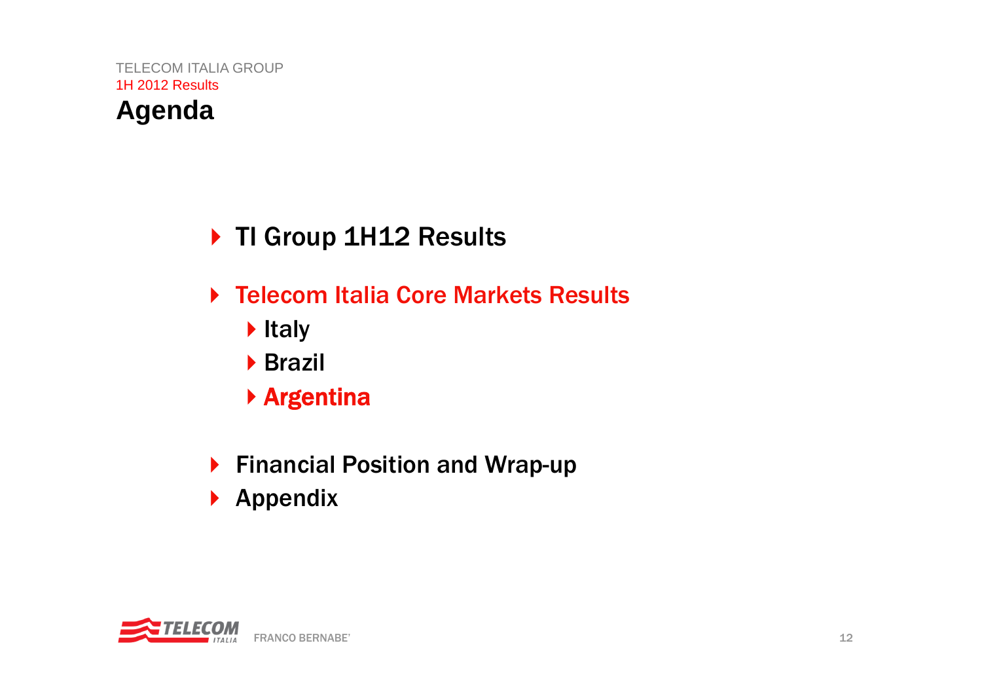## **Agenda**

## ▶ TI Group 1H12 Results

- ▶ Telecom Italia Core Markets Results
	- $\blacktriangleright$  Italy
	- **Brazil**
	- Argentina
- ▶ Financial Position and Wrap-up
- $\blacktriangleright$  Appendix

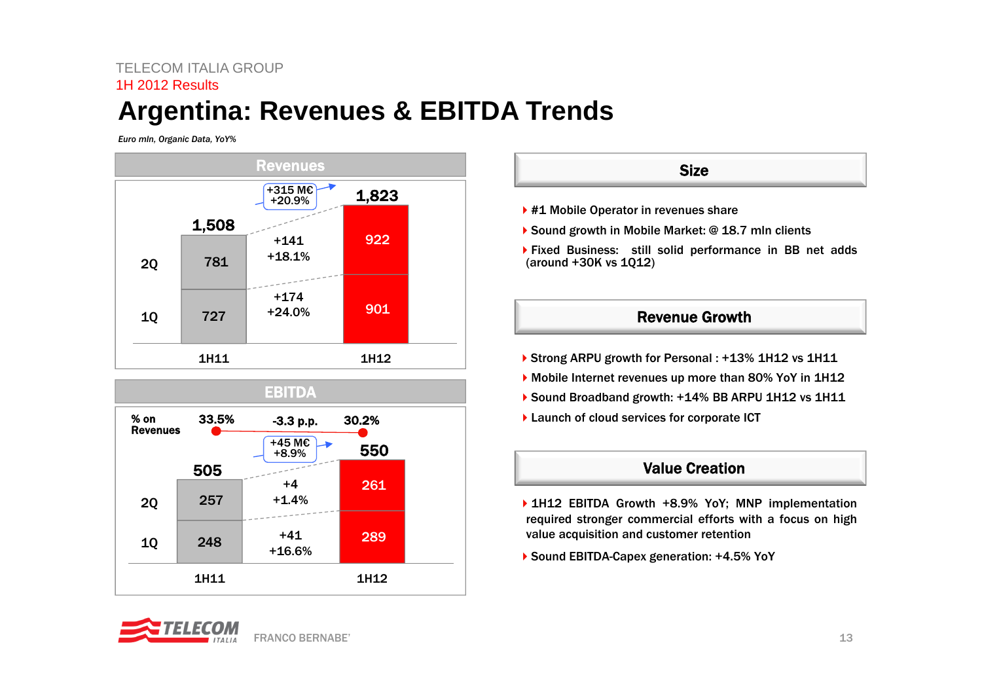### TELECOM ITALIA GROUP1H 2012 Results**Argentina: Revenues & EBITDA Trends**

*Euro mln, Organic Data, YoY%*





#### **Size**

- ▶ #1 Mobile Operator in revenues share
- ▶ Sound growth in Mobile Market: @ 18.7 mln clients
- Fixed Business: still solid performance in BB net adds (around +30K vs 1Q12)

#### Revenue Growth

- ▶ Strong ARPU growth for Personal : +13% 1H12 vs 1H11
- Mobile Internet revenues up more than 80% YoY in 1H12
- ▶ Sound Broadband growth: +14% BB ARPU 1H12 vs 1H11
- ▶ Launch of cloud services for corporate ICT

#### Value Creation

- ▶ 1H12 EBITDA Growth +8.9% YoY; MNP implementation required stronger commercial efforts with <sup>a</sup> focus on high value acquisition and customer retention
- ▶ Sound EBITDA-Capex generation: +4.5% YoY

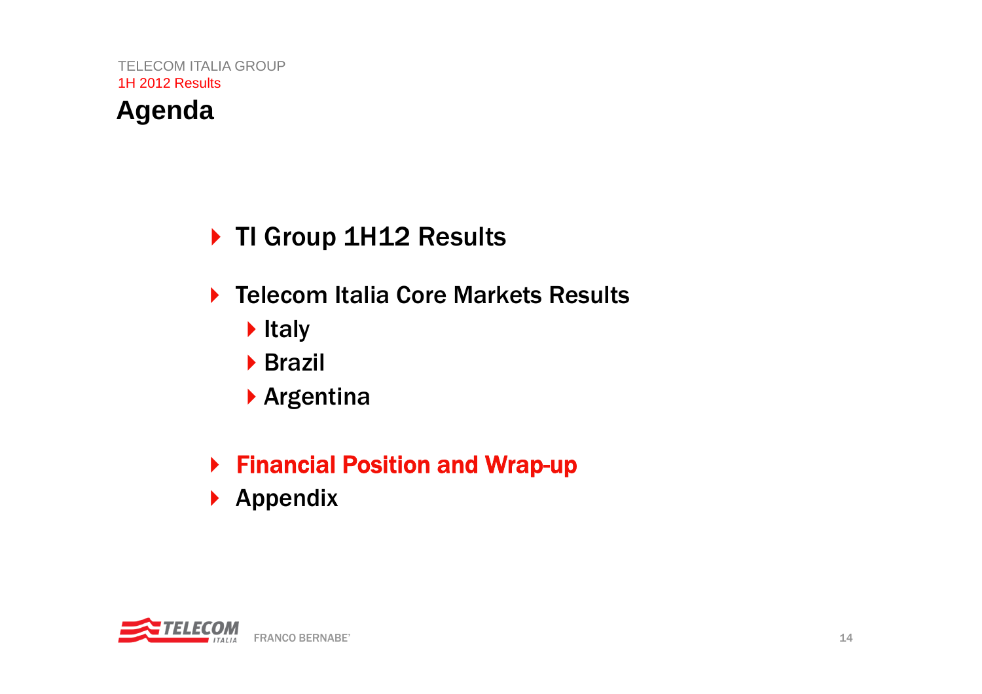## **Agenda**

## ▶ TI Group 1H12 Results

- ▶ Telecom Italia Core Markets Results
	- $\blacktriangleright$  Italy
	- **Brazil**
	- Argentina

## ▶ Financial Position and Wrap-up

 $\blacktriangleright$  Appendix

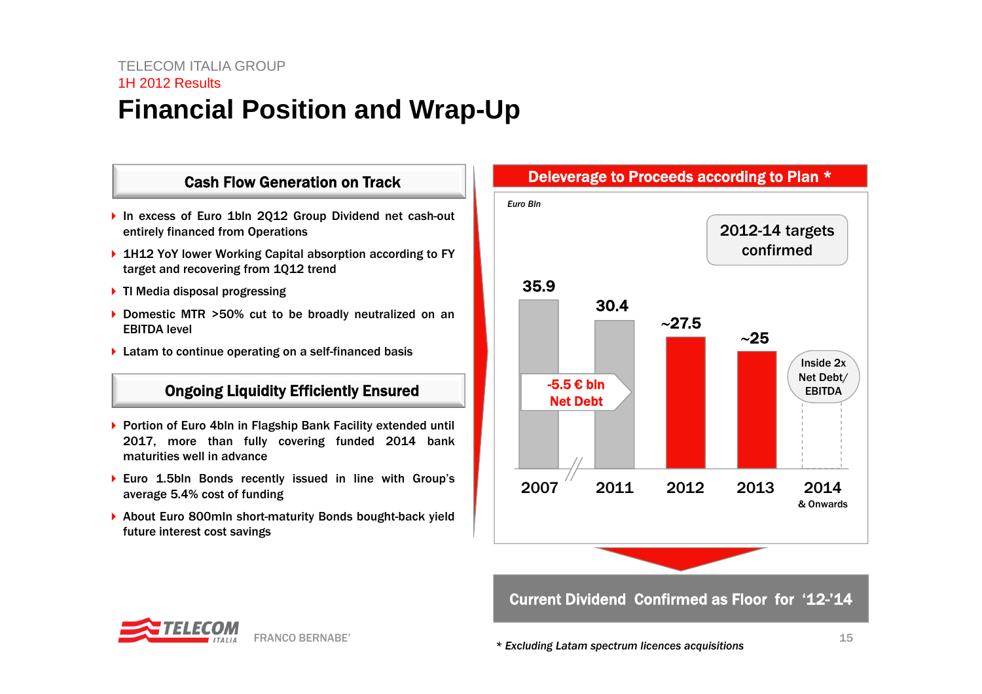### TELECOM ITALIA GROUP1H 2012 Results**Financial Position and Wrap-Up**

#### Cash Flow Generation on Track

- ▶ In excess of Euro 1bln 2Q12 Group Dividend net cash-out entirely financed from Operations
- ▶ 1H12 YoY lower Working Capital absorption according to FY target and recovering from 1Q12 trend
- ▶ TI Media disposal progressing
- ▶ Domestic MTR >50% cut to be broadly neutralized on an EBITDA level
- Latam to continue operating on <sup>a</sup> self-financed basis

#### Ongoing Liquidity Efficiently Ensured

- ▶ Portion of Euro 4bln in Flagship Bank Facility extended until 2017, more than fully covering funded 2014 bank maturities well in advance
- ▶ Euro 1.5bln Bonds recently issued in line with Group's average 5.4% cost of funding
- ▶ About Euro 800mln short-maturity Bonds bought-back yield future interest cost savings



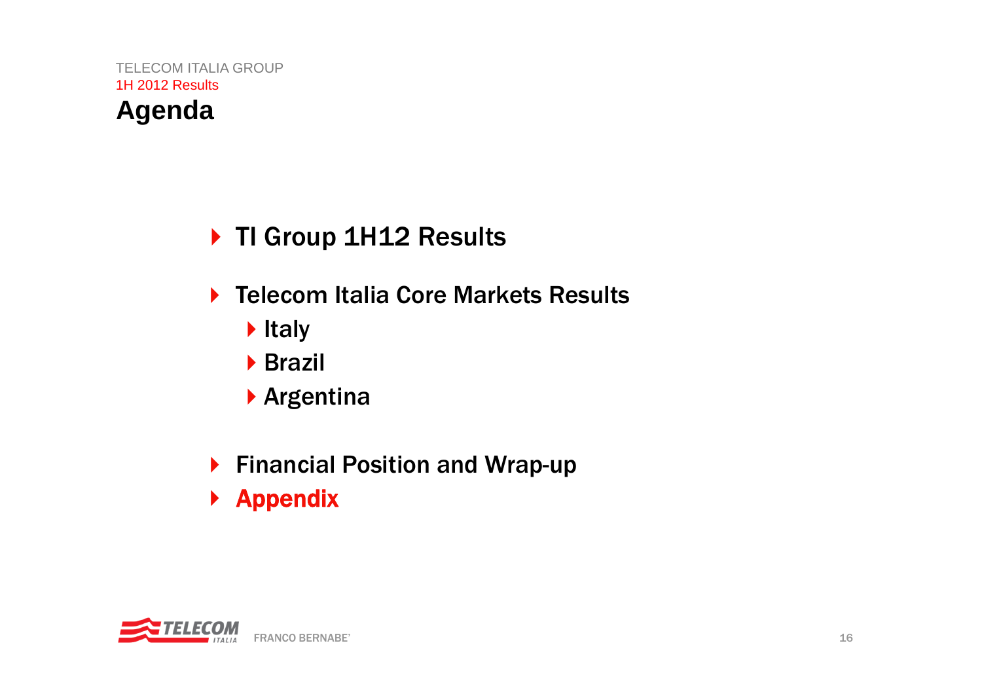## **Agenda**

- ▶ TI Group 1H12 Results
- ▶ Telecom Italia Core Markets Results
	- $\blacktriangleright$  Italy
	- **Brazil**
	- Argentina
- ▶ Financial Position and Wrap-up
- $\blacktriangleright$  Appendix

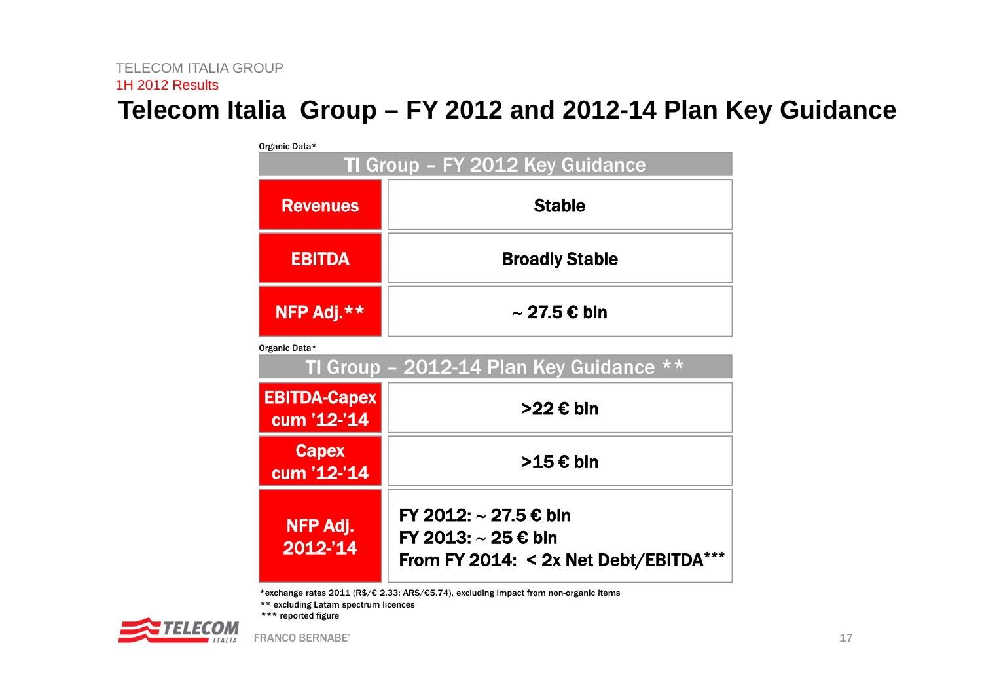### **Telecom Italia Group – FY 2012 and 2012-14 Plan Key Guidance**

| Organic Data*                      |                                              |  |  |  |  |  |  |
|------------------------------------|----------------------------------------------|--|--|--|--|--|--|
| TI Group - FY 2012 Key Guidance    |                                              |  |  |  |  |  |  |
| <b>Revenues</b>                    | <b>Stable</b>                                |  |  |  |  |  |  |
| <b>EBITDA</b>                      | <b>Broadly Stable</b>                        |  |  |  |  |  |  |
| NFP Adj.**<br>$\sim$ 27.5 € bln    |                                              |  |  |  |  |  |  |
| Organic Data*                      |                                              |  |  |  |  |  |  |
|                                    | TI Group - 2012-14 Plan Key Guidance **      |  |  |  |  |  |  |
| <b>EBITDA-Capex</b><br>cum '12-'14 | >22 € bln                                    |  |  |  |  |  |  |
| <b>Capex</b><br>cum '12-'14        | >15 € bln                                    |  |  |  |  |  |  |
| NFP Adj.<br>2012-'14               | FY 2012: ~ 27.5 € bln<br>FY 2013: ~ 25 € bln |  |  |  |  |  |  |

\*exchange rates 2011 (R\$/€ 2.33; ARS/€5.74), excluding impact from non-organic items

\*\* excluding Latam spectrum licences

\*\*\* reported figure

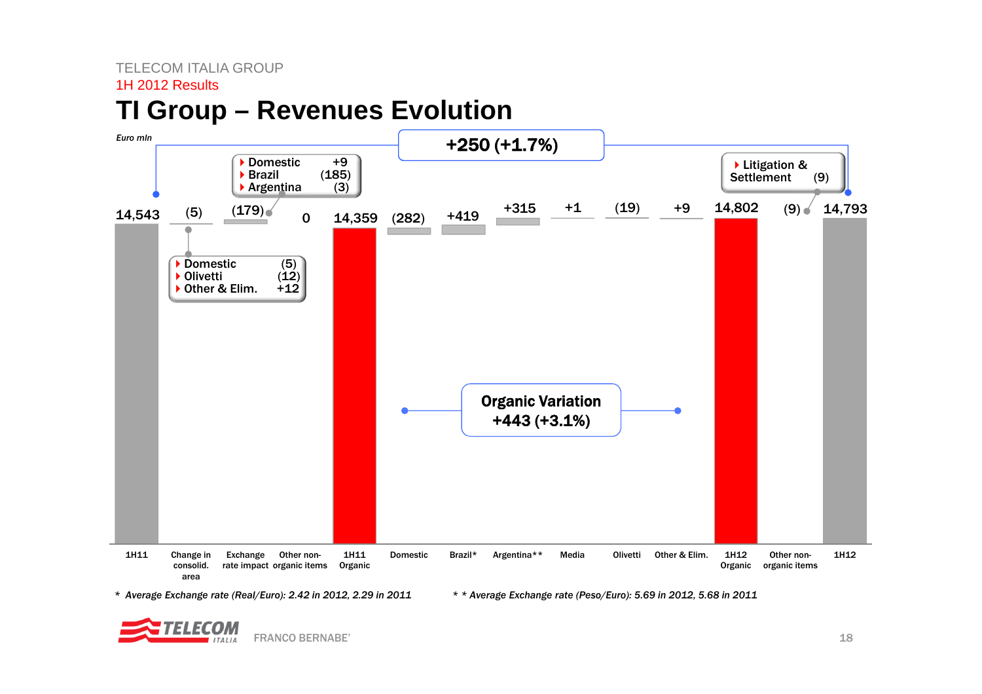#### TELECOM ITALIA GROUP

#### 1H 2012 Results

### **TI Group – Revenues Evolution**



*\* Average Exchange rate (Real/Euro): 2.42 in 2012, 2.29 in 2011 \* \* Average Exchange rate (Peso/Euro): 5.69 in 2012, 5.68 in 2011*

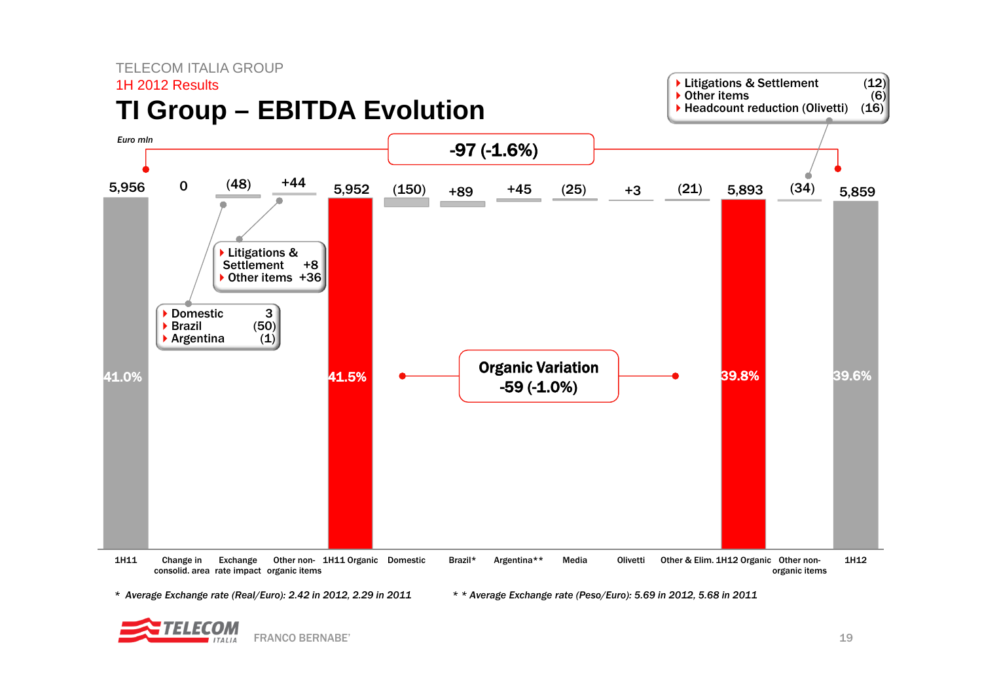

*\* Average Exchange rate (Real/Euro): 2.42 in 2012, 2.29 in 2011 \* \* Average Exchange rate (Peso/Euro): 5.69 in 2012, 5.68 in 2011*

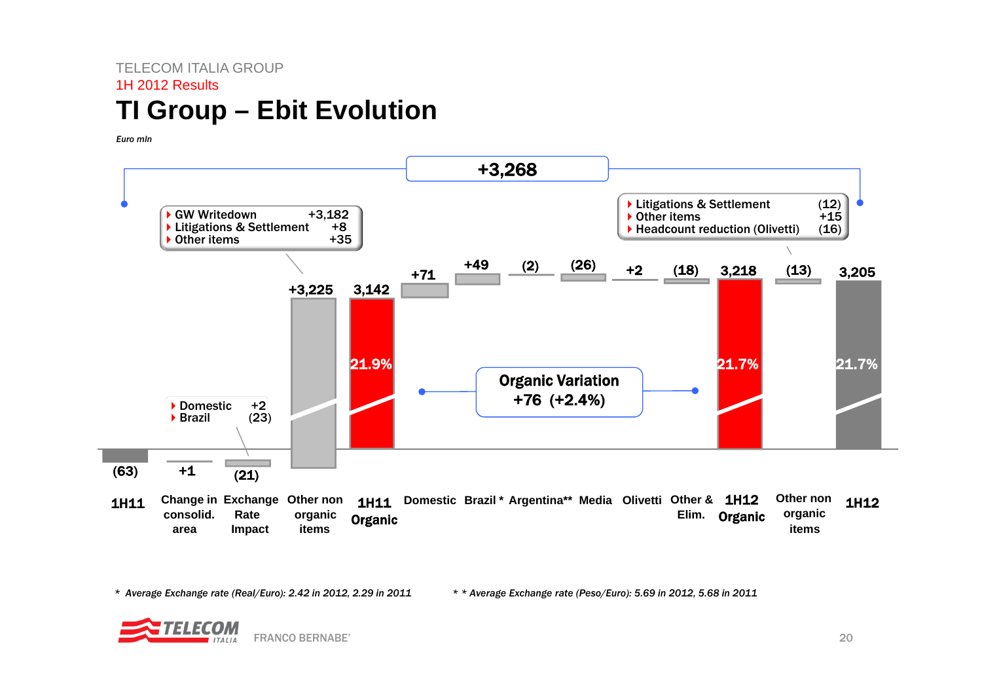### TELECOM ITALIA GROUP1H 2012 Results**TI Group – Ebit Evolution**

*Euro mln* 



*\* Average Exchange rate (Real/Euro): 2.42 in 2012, 2.29 in 2011 \* \* Average Exchange rate (Peso/Euro): 5.69 in 2012, 5.68 in 2011*

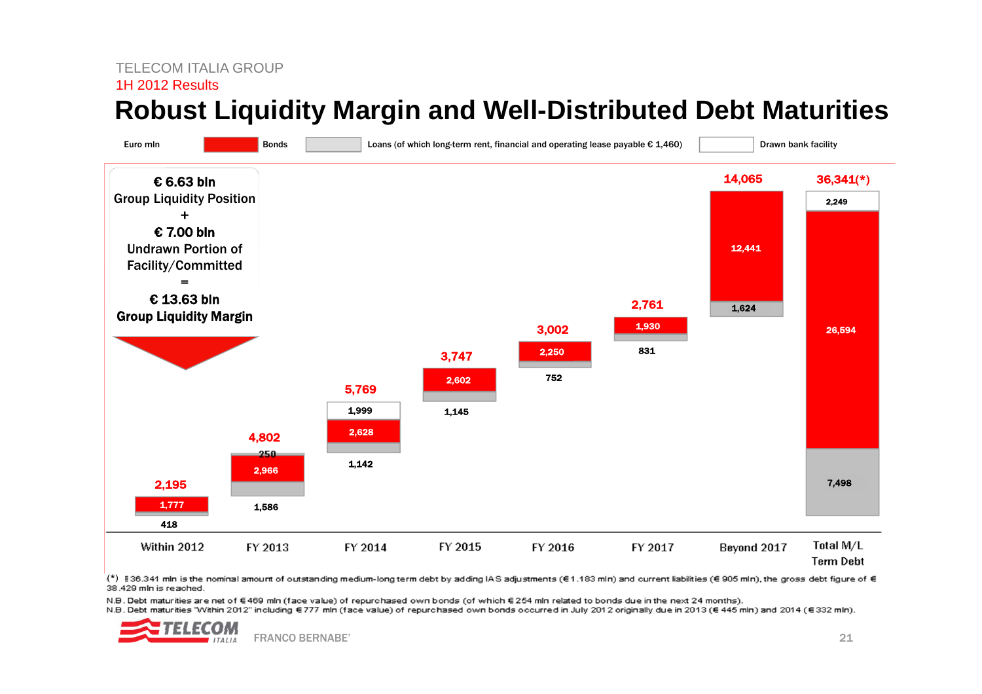#### TELECOM ITALIA GROUP

#### 1H 2012 Results

### **Robust Liquidity Margin and Well-Distributed Debt Maturities**



(\*) §36.341 mln is the nominal amount of outstanding medium-long term debt by adding IAS adjustments (€1.183 mln) and current liabilities (€ 905 mln), the gross debt figure of € 38.429 mln is reached.

N.B. Debt maturities are net of €469 mln (face value) of repurchased own bonds (of which €254 mln related to bonds due in the next 24 months).

N.B. Debt maturities "Within 2012" including €777 mln (face value) of repurchased own bonds occurred in July 2012 originally due in 2013 (€ 445 mln) and 2014 (€ 332 mln).

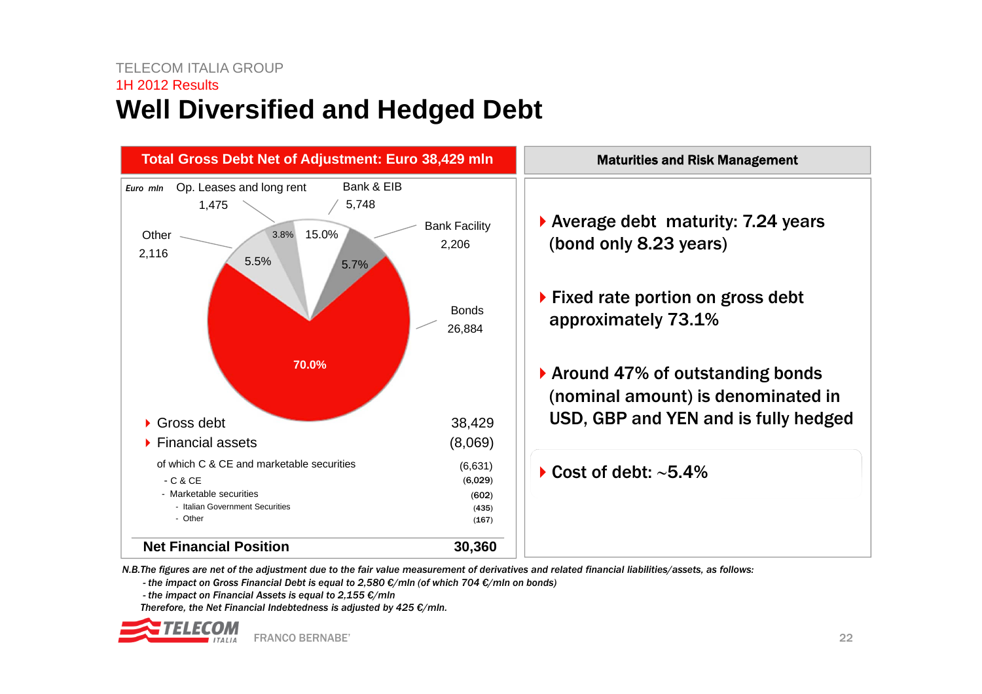### TELECOM ITALIA GROUP1H 2012 Results**Well Diversified and Hedged Debt**



*N.B.The figures are net of the adjustment due to the fair value measurement of derivatives and related financial liabilities/assets, as follows:*

*- the impact on Gross Financial Debt is equal to 2,580 €/mln (of which 704 €/mln on bonds)*

*- the impact on Financial Assets is equal to 2,155 €/mln*

*Therefore, the Net Financial Indebtedness is adjusted by 425 €/mln.*

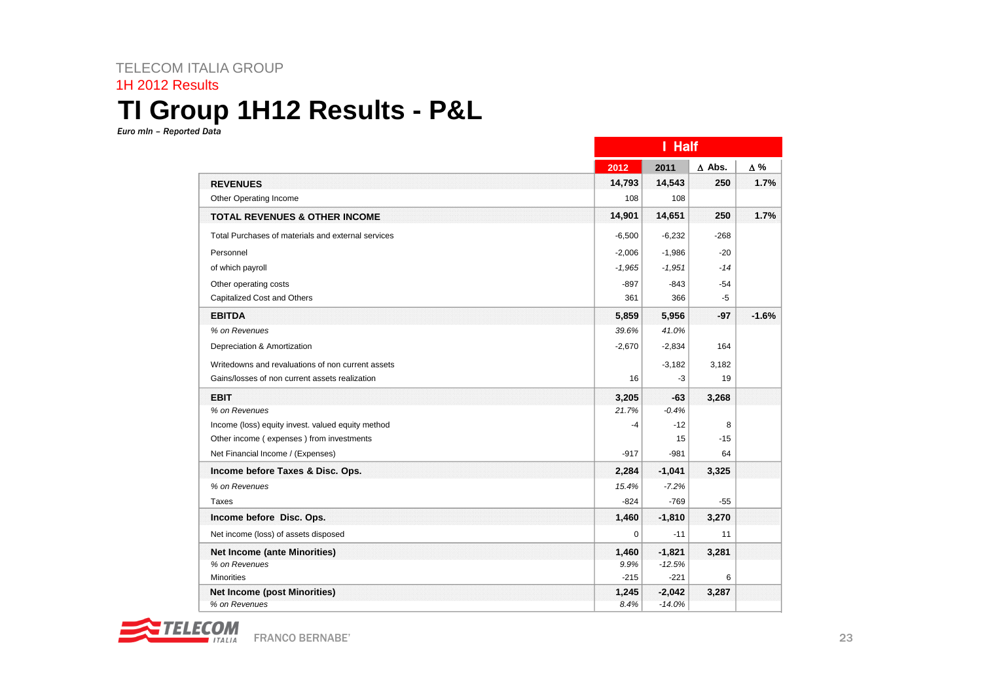### TELECOM ITALIA GROUP 1H 2012 Results **TI Group 1H12 Results - P&L**

*Euro mln – Reported Data*

|                                                    |          | I Half   |               |                         |  |
|----------------------------------------------------|----------|----------|---------------|-------------------------|--|
|                                                    | 2012     | 2011     | $\Delta$ Abs. | Δ%                      |  |
| <b>REVENUES</b>                                    | 14,793   | 14,543   | 250           |                         |  |
| Other Operating Income                             | 108      | 108      |               |                         |  |
| <b>TOTAL REVENUES &amp; OTHER INCOME</b>           | 14,901   | 14,651   | 250           |                         |  |
| Total Purchases of materials and external services | $-6,500$ | $-6,232$ | $-268$        |                         |  |
| Personnel                                          | $-2,006$ | $-1,986$ | $-20$         |                         |  |
| of which payroll                                   | $-1,965$ | $-1,951$ | -14           |                         |  |
| Other operating costs                              | $-897$   | $-843$   | $-54$         |                         |  |
| Capitalized Cost and Others                        | 361      | 366      | $-5$          | 1.7%<br>1.7%<br>$-1.6%$ |  |
| <b>EBITDA</b>                                      | 5,859    | 5,956    | -97           |                         |  |
| % on Revenues                                      | 39.6%    | 41.0%    |               |                         |  |
| Depreciation & Amortization                        | $-2,670$ | $-2,834$ | 164           |                         |  |
| Writedowns and revaluations of non current assets  |          | $-3,182$ | 3,182         |                         |  |
| Gains/losses of non current assets realization     | 16       | -3       | 19            |                         |  |
| <b>EBIT</b>                                        | 3,205    | $-63$    | 3,268         |                         |  |
| % on Revenues                                      | 21.7%    | $-0.4%$  |               |                         |  |
| Income (loss) equity invest. valued equity method  | $-4$     | $-12$    | 8             |                         |  |
| Other income (expenses) from investments           |          | 15       | $-15$         |                         |  |
| Net Financial Income / (Expenses)                  | $-917$   | $-981$   | 64            |                         |  |
| Income before Taxes & Disc. Ops.                   | 2,284    | $-1,041$ | 3,325         |                         |  |
| % on Revenues                                      | 15.4%    | $-7.2%$  |               |                         |  |
| Taxes                                              | $-824$   | $-769$   | -55           |                         |  |
| Income before Disc. Ops.                           | 1,460    | $-1,810$ | 3,270         |                         |  |
| Net income (loss) of assets disposed               | 0        | $-11$    | 11            |                         |  |
| <b>Net Income (ante Minorities)</b>                | 1,460    | $-1,821$ | 3,281         |                         |  |
| % on Revenues                                      | 9.9%     | $-12.5%$ |               |                         |  |
| <b>Minorities</b>                                  | $-215$   | $-221$   | 6             |                         |  |
| <b>Net Income (post Minorities)</b>                | 1,245    | $-2,042$ | 3,287         |                         |  |
| % on Revenues                                      | 8.4%     | $-14.0%$ |               |                         |  |

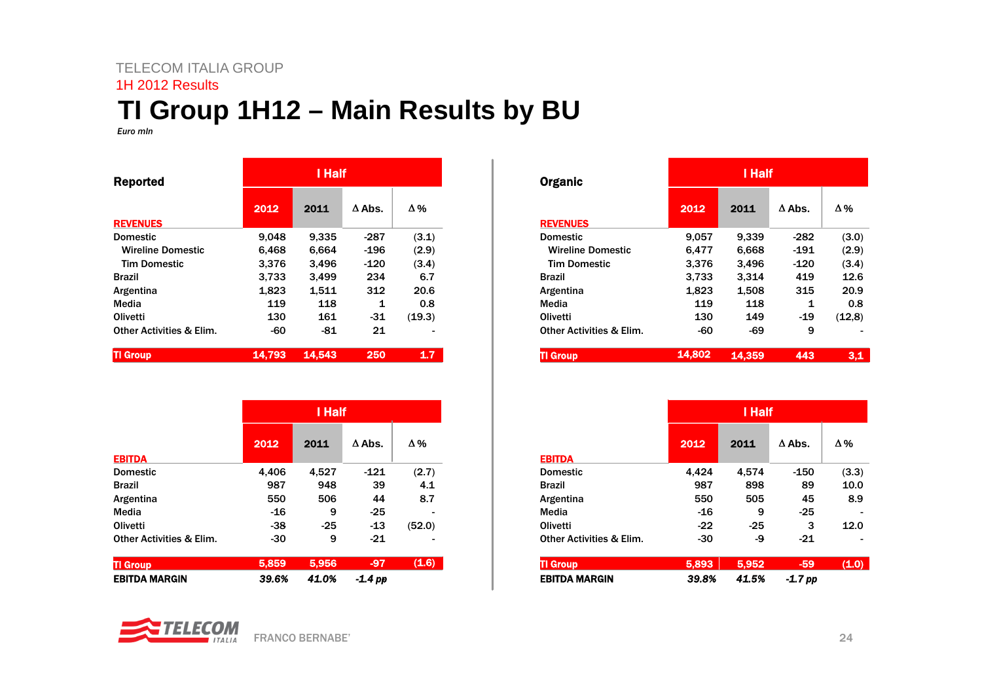#### TELECOM ITALIA GROUP

#### 1H 2012 Results

### **TI Group 1H12 – Main Results by BU**

*Euro mln*

| <b>Reported</b>                     | I Half |        |               |        |  |
|-------------------------------------|--------|--------|---------------|--------|--|
| <b>REVENUES</b>                     | 2012   | 2011   | $\Delta$ Abs. | Δ%     |  |
| <b>Domestic</b>                     | 9,048  | 9,335  | -287          | (3.1)  |  |
| <b>Wireline Domestic</b>            | 6,468  | 6.664  | $-196$        | (2.9)  |  |
| <b>Tim Domestic</b>                 | 3,376  | 3,496  | $-120$        | (3.4)  |  |
| <b>Brazil</b>                       | 3.733  | 3.499  | 234           | 6.7    |  |
| Argentina                           | 1,823  | 1,511  | 312           | 20.6   |  |
| Media                               | 119    | 118    | 1             | 0.8    |  |
| Olivetti                            | 130    | 161    | -31           | (19.3) |  |
| <b>Other Activities &amp; Elim.</b> | -60    | -81    | 21            |        |  |
| <b>Group</b>                        | 14.793 | 14,543 | 250           | 1.7    |  |

|                                     |       | I Half |               |        |  |
|-------------------------------------|-------|--------|---------------|--------|--|
|                                     | 2012  | 2011   | $\Delta$ Abs. | Δ%     |  |
| <b>EBITDA</b>                       |       |        |               |        |  |
| <b>Domestic</b>                     | 4,406 | 4,527  | $-121$        | (2.7)  |  |
| <b>Brazil</b>                       | 987   | 948    | 39            | 4.1    |  |
| Argentina                           | 550   | 506    | 44            | 8.7    |  |
| Media                               | $-16$ | 9      | $-25$         |        |  |
| Olivetti                            | $-38$ | $-25$  | $-13$         | (52.0) |  |
| <b>Other Activities &amp; Elim.</b> | $-30$ | 9      | $-21$         |        |  |
| <b>TI Group</b>                     | 5,859 | 5,956  | $-97$         | (1.6)  |  |
| <b>EBITDA MARGIN</b>                | 39.6% | 41.0%  | $-1.4$ pp     |        |  |

FRANCO BERNABE'

| प/∶<br>. . | $ CDM$ |
|------------|--------|
|            | ITAIIA |

| <b>Organic</b>                      |        | l Half |               |        |  |
|-------------------------------------|--------|--------|---------------|--------|--|
|                                     | 2012   | 2011   | $\Delta$ Abs. | Δ%     |  |
| <b>REVENUES</b>                     |        |        |               |        |  |
| <b>Domestic</b>                     | 9,057  | 9,339  | $-282$        | (3.0)  |  |
| <b>Wireline Domestic</b>            | 6,477  | 6,668  | -191          | (2.9)  |  |
| <b>Tim Domestic</b>                 | 3,376  | 3,496  | -120          | (3.4)  |  |
| <b>Brazil</b>                       | 3,733  | 3,314  | 419           | 12.6   |  |
| Argentina                           | 1,823  | 1,508  | 315           | 20.9   |  |
| Media                               | 119    | 118    | 1             | 0.8    |  |
| <b>Olivetti</b>                     | 130    | 149    | $-19$         | (12,8) |  |
| <b>Other Activities &amp; Elim.</b> | -60    | -69    | 9             |        |  |
| <b>TI Group</b>                     | 14.802 | 14.359 | 443           | 3,1    |  |

|                                     | I Half |       |               |       |
|-------------------------------------|--------|-------|---------------|-------|
|                                     | 2012   | 2011  | $\Delta$ Abs. | Δ%    |
| <b>EBITDA</b>                       |        |       |               |       |
| <b>Domestic</b>                     | 4,424  | 4,574 | $-150$        | (3.3) |
| <b>Brazil</b>                       | 987    | 898   | 89            | 10.0  |
| Argentina                           | 550    | 505   | 45            | 8.9   |
| Media                               | $-16$  | 9     | $-25$         |       |
| Olivetti                            | $-22$  | $-25$ | 3             | 12.0  |
| <b>Other Activities &amp; Elim.</b> | $-30$  | -9    | $-21$         |       |
| <b>TI Group</b>                     | 5,893  | 5,952 | $-59$         | (1.0) |
| <b>EBITDA MARGIN</b>                | 39.8%  | 41.5% | -1.7 pp       |       |